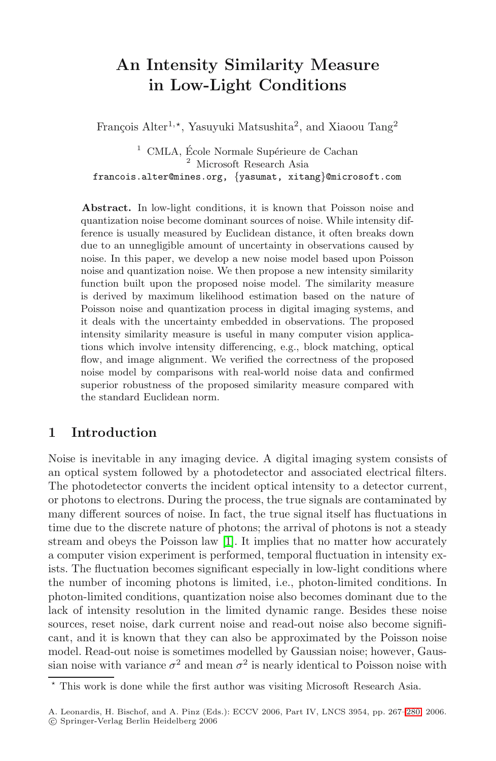# **An Intensity Similarity Measure in Low-Light Conditions**

François Alter<sup>1,\*</sup>, Yasuyuki Matsushita<sup>2</sup>, and Xiaoou Tang<sup>2</sup>

 $1$  CMLA, École Normale Supérieure de Cachan <sup>2</sup> Microsoft Research Asia francois.alter@mines.org, {yasumat, xitang}@microsoft.com

**Abstract.** In low-light conditions, it is known that Poisson noise and quantization noise become dominant sources of noise. While intensity difference is usually measured by Euclidean distance, it often breaks down due to an unnegligible amount of uncertainty in observations caused by noise. In this paper, we develop a new noise model based upon Poisson noise and quantization noise. We then propose a new intensity similarity function built upon the proposed noise model. The similarity measure is derived by maximum likelihood estimation based on the nature of Poisson noise and quantization process in digital imaging systems, and it deals with the uncertainty embedded in observations. The proposed intensity similarity measure is useful in many computer vision applications which involve intensity differencing, e.g., block matching, optical flow, and image alignment. We verified the correctness of the proposed noise model by comparisons with real-world noise data and confirmed superior robustness of the proposed similarity measure compared with the standard Euclidean norm.

### **1 Introduction**

Noise is inevitable in any imaging device. A digital imaging system consists of an optical system followed by a photodetector and associated electrical filters. The photodetector converts the incident optical intensity to a detector current, or photons to electrons. During the process, the true signals are contaminated by many different sources of noise. In fact, the true signal itself has fluctuations in time due to the discrete nature of photons; the arrival of photons is not a steady stream and obeys the Poisson law [\[1\]](#page-10-0). It implies that no matter how accurately a computer vision experiment is performed, temporal fluctuation in intensity exists. The fluctuation becomes significant especially in low-light conditions where the number of incoming photons is limited, i.e., photon-limited conditions. In photon-limited conditions, quantization noise also becomes dominant due to the lack of intensity resolution in the limited dynamic range. Besides these noise sources, reset noise, dark current noise and read-out noise also become significant, and it is known that they can also be approximated by the Poisson noise model. Read-out noise is sometimes modelled by Gaussian noise; however, Gaussian noise with variance  $\sigma^2$  and mean  $\sigma^2$  is nearly identical to Poisson noise with

<sup>\*</sup> This work is done while the first author was visiting Microsoft Research Asia.

A. Leonardis, H. Bischof, and A. Pinz (Eds.): ECCV 2006, Part IV, LNCS 3954, pp. 267[–280,](#page-13-0) 2006. -c Springer-Verlag Berlin Heidelberg 2006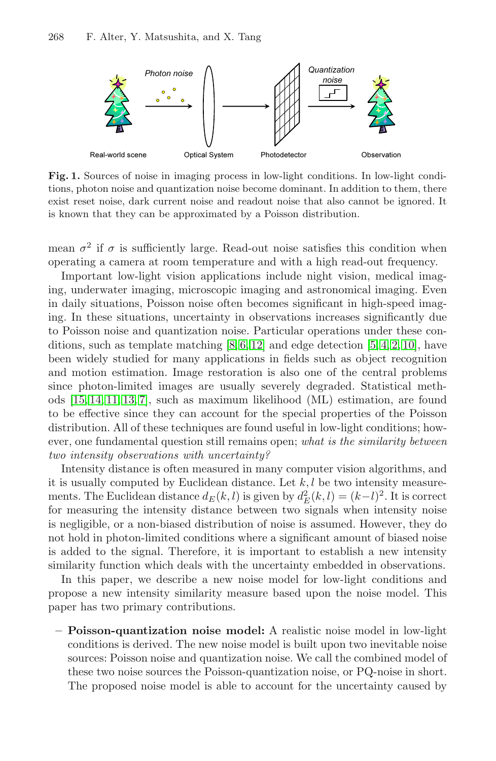

**Fig. 1.** Sources of noise in imaging process in low-light conditions. In low-light conditions, photon noise and quantization noise become dominant. In addition to them, there exist reset noise, dark current noise and readout noise that also cannot be ignored. It is known that they can be approximated by a Poisson distribution.

mean  $\sigma^2$  if  $\sigma$  is sufficiently large. Read-out noise satisfies this condition when operating a camera at room temperature and with a high read-out frequency.

Important low-light vision applications include night vision, medical imaging, underwater imaging, microscopic imaging and astronomical imaging. Even in daily situations, Poisson noise often becomes significant in high-speed imaging. In these situations, uncertainty in observations increases significantly due to Poisson noise and quantization noise. Particular operations under these conditions, such as template matching  $[8, 6, 12]$  $[8, 6, 12]$  $[8, 6, 12]$  and edge detection  $[5, 4, 2, 10]$  $[5, 4, 2, 10]$  $[5, 4, 2, 10]$  $[5, 4, 2, 10]$ , have been widely studied for many applications in fields such as object recognition and motion estimation. Image restoration is also one of the central problems since photon-limited images are usually severely degraded. Statistical methods [\[15,](#page-10-8)[14,](#page-10-9) [11,](#page-10-10) [13,](#page-10-11) [7\]](#page-10-12), such as maximum likelihood (ML) estimation, are found to be effective since they can account for the special properties of the Poisson distribution. All of these techniques are found useful in low-light conditions; however, one fundamental question still remains open; what is the similarity between two intensity observations with uncertainty?

Intensity distance is often measured in many computer vision algorithms, and it is usually computed by Euclidean distance. Let  $k, l$  be two intensity measurements. The Euclidean distance  $d_E(k, l)$  is given by  $d_E^2(k, l) = (k-l)^2$ . It is correct for measuring the intensity distance between two signals when intensity noise is negligible, or a non-biased distribution of noise is assumed. However, they do not hold in photon-limited conditions where a significant amount of biased noise is added to the signal. Therefore, it is important to establish a new intensity similarity function which deals with the uncertainty embedded in observations.

In this paper, we describe a new noise model for low-light conditions and propose a new intensity similarity measure based upon the noise model. This paper has two primary contributions.

**– Poisson-quantization noise model:** A realistic noise model in low-light conditions is derived. The new noise model is built upon two inevitable noise sources: Poisson noise and quantization noise. We call the combined model of these two noise sources the Poisson-quantization noise, or PQ-noise in short. The proposed noise model is able to account for the uncertainty caused by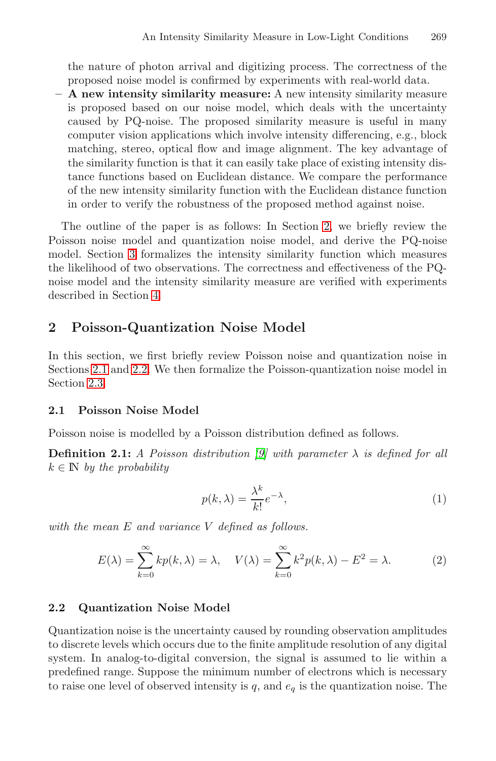the nature of photon arrival and digitizing process. The correctness of the proposed noise model is confirmed by experiments with real-world data.

**– A new intensity similarity measure:** A new intensity similarity measure is proposed based on our noise model, which deals with the uncertainty caused by PQ-noise. The proposed similarity measure is useful in many computer vision applications which involve intensity differencing, e.g., block matching, stereo, optical flow and image alignment. The key advantage of the similarity function is that it can easily take place of existing intensity distance functions based on Euclidean distance. We compare the performance of the new intensity similarity function with the Euclidean distance function in order to verify the robustness of the proposed method against noise.

The outline of the paper is as follows: In Section [2,](#page-2-0) we briefly review the Poisson noise model and quantization noise model, and derive the PQ-noise model. Section [3](#page-4-0) formalizes the intensity similarity function which measures the likelihood of two observations. The correctness and effectiveness of the PQnoise model and the intensity similarity measure are verified with experiments described in Section [4.](#page-7-0)

### <span id="page-2-0"></span>**2 Poisson-Quantization Noise Model**

In this section, we first briefly review Poisson noise and quantization noise in Sections [2.1](#page-2-1) and [2.2.](#page-2-2) We then formalize the Poisson-quantization noise model in Section [2.3.](#page-3-0)

#### <span id="page-2-1"></span>**2.1 Poisson Noise Model**

Poisson noise is modelled by a Poisson distribution defined as follows.

**Definition 2.1:** A Poisson distribution [\[9\]](#page-10-13) with parameter  $\lambda$  is defined for all  $k \in \mathbb{N}$  by the probability

$$
p(k,\lambda) = \frac{\lambda^k}{k!} e^{-\lambda},\tag{1}
$$

with the mean E and variance V defined as follows.

$$
E(\lambda) = \sum_{k=0}^{\infty} k p(k, \lambda) = \lambda, \quad V(\lambda) = \sum_{k=0}^{\infty} k^2 p(k, \lambda) - E^2 = \lambda.
$$
 (2)

#### <span id="page-2-2"></span>**2.2 Quantization Noise Model**

Quantization noise is the uncertainty caused by rounding observation amplitudes to discrete levels which occurs due to the finite amplitude resolution of any digital system. In analog-to-digital conversion, the signal is assumed to lie within a predefined range. Suppose the minimum number of electrons which is necessary to raise one level of observed intensity is  $q$ , and  $e_q$  is the quantization noise. The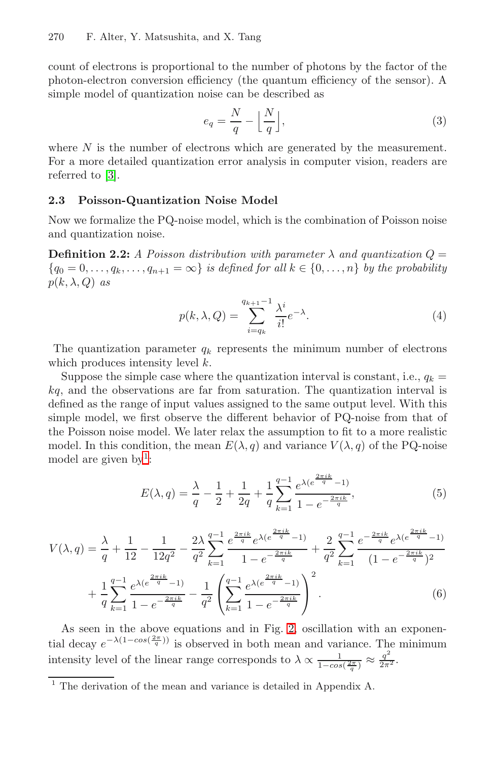count of electrons is proportional to the number of photons by the factor of the photon-electron conversion efficiency (the quantum efficiency of the sensor). A simple model of quantization noise can be described as

$$
e_q = \frac{N}{q} - \left\lfloor \frac{N}{q} \right\rfloor,\tag{3}
$$

where  $N$  is the number of electrons which are generated by the measurement. For a more detailed quantization error analysis in computer vision, readers are referred to [\[3\]](#page-10-14).

#### <span id="page-3-0"></span>**2.3 Poisson-Quantization Noise Model**

Now we formalize the PQ-noise model, which is the combination of Poisson noise and quantization noise.

**Definition 2.2:** A Poisson distribution with parameter  $\lambda$  and quantization  $Q =$  ${q_0 = 0, \ldots, q_k, \ldots, q_{n+1} = \infty}$  is defined for all  $k \in \{0, \ldots, n\}$  by the probability  $p(k, \lambda, Q)$  as

$$
p(k,\lambda,Q) = \sum_{i=q_k}^{q_{k+1}-1} \frac{\lambda^i}{i!} e^{-\lambda}.
$$
 (4)

<span id="page-3-4"></span>The quantization parameter  $q_k$  represents the minimum number of electrons which produces intensity level  $k$ .

Suppose the simple case where the quantization interval is constant, i.e.,  $q_k =$  $kq$ , and the observations are far from saturation. The quantization interval is defined as the range of input values assigned to the same output level. With this simple model, we first observe the different behavior of PQ-noise from that of the Poisson noise model. We later relax the assumption to fit to a more realistic model. In this condition, the mean  $E(\lambda, q)$  and variance  $V(\lambda, q)$  of the PQ-noise model are given by<sup>[1](#page-3-1)</sup>:

$$
E(\lambda, q) = \frac{\lambda}{q} - \frac{1}{2} + \frac{1}{2q} + \frac{1}{q} \sum_{k=1}^{q-1} \frac{e^{\lambda(e^{\frac{2\pi i k}{q}} - 1)}}{1 - e^{-\frac{2\pi i k}{q}}},
$$
(5)

<span id="page-3-3"></span><span id="page-3-2"></span>
$$
V(\lambda, q) = \frac{\lambda}{q} + \frac{1}{12} - \frac{1}{12q^2} - \frac{2\lambda}{q^2} \sum_{k=1}^{q-1} \frac{e^{\frac{2\pi i k}{q}} e^{\lambda(e^{\frac{2\pi i k}{q}} - 1)}}{1 - e^{-\frac{2\pi i k}{q}}} + \frac{2}{q^2} \sum_{k=1}^{q-1} \frac{e^{-\frac{2\pi i k}{q}} e^{\lambda(e^{\frac{2\pi i k}{q}} - 1)}}{(1 - e^{-\frac{2\pi i k}{q}})^2} + \frac{1}{q} \sum_{k=1}^{q-1} \frac{e^{\lambda(e^{\frac{2\pi i k}{q}} - 1)}}{1 - e^{-\frac{2\pi i k}{q}}} - \frac{1}{q^2} \left( \sum_{k=1}^{q-1} \frac{e^{\lambda(e^{\frac{2\pi i k}{q}} - 1)}}{1 - e^{-\frac{2\pi i k}{q}}} \right)^2.
$$
 (6)

As seen in the above equations and in Fig. [2,](#page-4-1) oscillation with an exponential decay  $e^{-\lambda(1-cos(\frac{2\pi}{q}))}$  is observed in both mean and variance. The minimum intensity level of the linear range corresponds to  $\lambda \propto \frac{1}{1-cos(\frac{2\pi}{q})} \approx \frac{q^2}{2\pi^2}$ .

<span id="page-3-1"></span> $<sup>1</sup>$  The derivation of the mean and variance is detailed in Appendix A.</sup>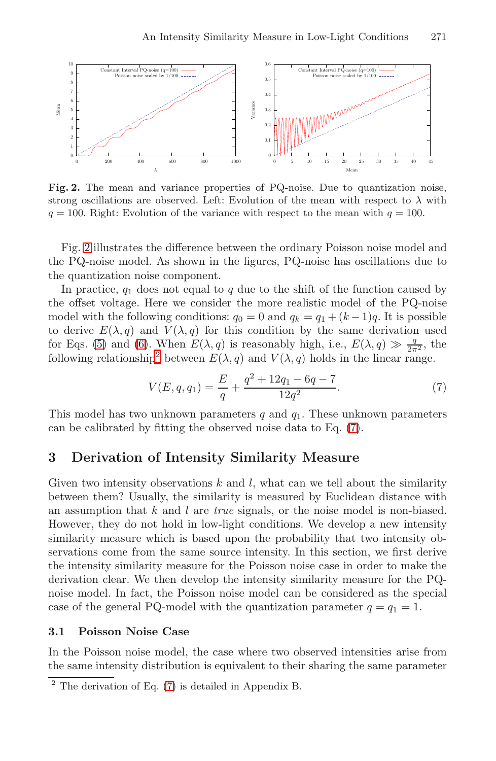

<span id="page-4-1"></span>Fig. 2. The mean and variance properties of PQ-noise. Due to quantization noise, strong oscillations are observed. Left: Evolution of the mean with respect to  $\lambda$  with  $q = 100$ . Right: Evolution of the variance with respect to the mean with  $q = 100$ .

Fig. [2](#page-4-1) illustrates the difference between the ordinary Poisson noise model and the PQ-noise model. As shown in the figures, PQ-noise has oscillations due to the quantization noise component.

In practice,  $q_1$  does not equal to q due to the shift of the function caused by the offset voltage. Here we consider the more realistic model of the PQ-noise model with the following conditions:  $q_0 = 0$  and  $q_k = q_1 + (k-1)q$ . It is possible to derive  $E(\lambda, q)$  and  $V(\lambda, q)$  for this condition by the same derivation used for Eqs. [\(5\)](#page-3-2) and [\(6\)](#page-3-3). When  $E(\lambda, q)$  is reasonably high, i.e.,  $E(\lambda, q) \gg \frac{q}{2\pi^2}$ , the following relationship<sup>[2](#page-4-2)</sup> between  $E(\lambda, q)$  and  $V(\lambda, q)$  holds in the linear range.

$$
V(E, q, q_1) = \frac{E}{q} + \frac{q^2 + 12q_1 - 6q - 7}{12q^2}.
$$
\n(7)

<span id="page-4-3"></span>This model has two unknown parameters q and  $q_1$ . These unknown parameters can be calibrated by fitting the observed noise data to Eq. [\(7\)](#page-4-3).

### <span id="page-4-0"></span>**3 Derivation of Intensity Similarity Measure**

Given two intensity observations  $k$  and  $l$ , what can we tell about the similarity between them? Usually, the similarity is measured by Euclidean distance with an assumption that  $k$  and  $l$  are true signals, or the noise model is non-biased. However, they do not hold in low-light conditions. We develop a new intensity similarity measure which is based upon the probability that two intensity observations come from the same source intensity. In this section, we first derive the intensity similarity measure for the Poisson noise case in order to make the derivation clear. We then develop the intensity similarity measure for the PQnoise model. In fact, the Poisson noise model can be considered as the special case of the general PQ-model with the quantization parameter  $q = q_1 = 1$ .

#### **3.1 Poisson Noise Case**

In the Poisson noise model, the case where two observed intensities arise from the same intensity distribution is equivalent to their sharing the same parameter

<span id="page-4-2"></span> $\frac{2}{7}$  The derivation of Eq. [\(7\)](#page-4-3) is detailed in Appendix B.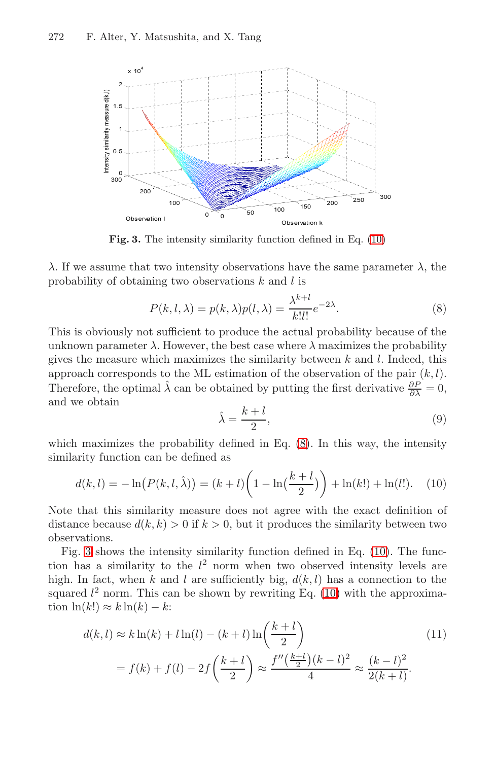

**Fig. 3.** The intensity similarity function defined in Eq. [\(10\)](#page-5-0)

<span id="page-5-2"></span> $\lambda$ . If we assume that two intensity observations have the same parameter  $\lambda$ , the probability of obtaining two observations  $k$  and  $l$  is

$$
P(k, l, \lambda) = p(k, \lambda)p(l, \lambda) = \frac{\lambda^{k+l}}{k!l!}e^{-2\lambda}.
$$
\n(8)

<span id="page-5-1"></span>This is obviously not sufficient to produce the actual probability because of the unknown parameter  $\lambda$ . However, the best case where  $\lambda$  maximizes the probability gives the measure which maximizes the similarity between  $k$  and  $l$ . Indeed, this approach corresponds to the ML estimation of the observation of the pair  $(k, l)$ . Therefore, the optimal  $\hat{\lambda}$  can be obtained by putting the first derivative  $\frac{\partial P}{\partial \lambda} = 0$ , and we obtain

$$
\hat{\lambda} = \frac{k+l}{2},\tag{9}
$$

which maximizes the probability defined in Eq. [\(8\)](#page-5-1). In this way, the intensity similarity function can be defined as

$$
d(k,l) = -\ln(P(k,l,\hat{\lambda})) = (k+l)\left(1 - \ln\left(\frac{k+l}{2}\right)\right) + \ln(k!) + \ln(l!). \quad (10)
$$

<span id="page-5-0"></span>Note that this similarity measure does not agree with the exact definition of distance because  $d(k, k) > 0$  if  $k > 0$ , but it produces the similarity between two observations.

Fig. [3](#page-5-2) shows the intensity similarity function defined in Eq. [\(10\)](#page-5-0). The function has a similarity to the  $l^2$  norm when two observed intensity levels are high. In fact, when k and l are sufficiently big,  $d(k, l)$  has a connection to the squared  $l^2$  norm. This can be shown by rewriting Eq. [\(10\)](#page-5-0) with the approximation  $\ln(k!) \approx k \ln(k) - k$ :

$$
d(k,l) \approx k \ln(k) + l \ln(l) - (k+l) \ln\left(\frac{k+l}{2}\right)
$$
  
=  $f(k) + f(l) - 2f\left(\frac{k+l}{2}\right) \approx \frac{f''\left(\frac{k+l}{2}\right)(k-l)^2}{4} \approx \frac{(k-l)^2}{2(k+l)}.$  (11)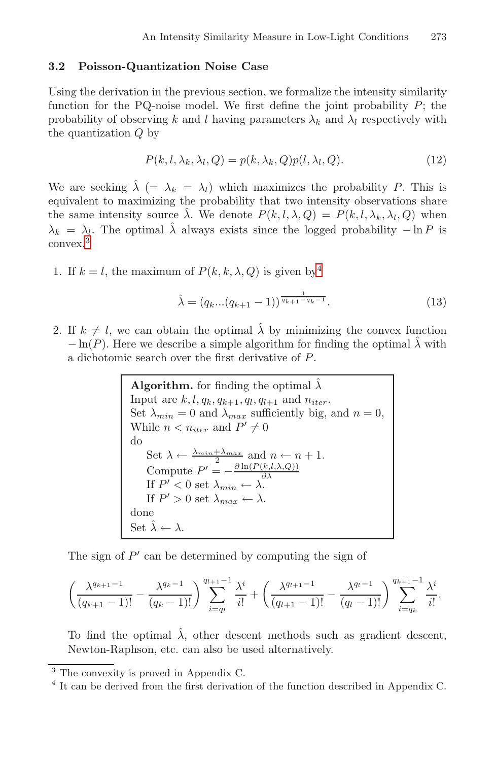#### <span id="page-6-3"></span>**3.2 Poisson-Quantization Noise Case**

Using the derivation in the previous section, we formalize the intensity similarity function for the PQ-noise model. We first define the joint probability  $P$ ; the probability of observing k and l having parameters  $\lambda_k$  and  $\lambda_l$  respectively with the quantization Q by

$$
P(k, l, \lambda_k, \lambda_l, Q) = p(k, \lambda_k, Q)p(l, \lambda_l, Q). \tag{12}
$$

<span id="page-6-2"></span>We are seeking  $\hat{\lambda}$  (=  $\lambda_k = \lambda_l$ ) which maximizes the probability P. This is equivalent to maximizing the probability that two intensity observations share the same intensity source  $\lambda$ . We denote  $P(k, l, \lambda, Q) = P(k, l, \lambda_k, \lambda_l, Q)$  when  $\lambda_k = \lambda_l$ . The optimal  $\hat{\lambda}$  always exists since the logged probability  $-\ln P$  is convex.[3](#page-6-0)

1. If  $k = l$ , the maximum of  $P(k, k, \lambda, Q)$  is given by<sup>[4](#page-6-1)</sup>

$$
\hat{\lambda} = (q_k ... (q_{k+1} - 1))^{\frac{1}{q_{k+1} - q_k - 1}}.
$$
\n(13)

2. If  $k \neq l$ , we can obtain the optimal  $\hat{\lambda}$  by minimizing the convex function  $-\ln(P)$ . Here we describe a simple algorithm for finding the optimal  $\lambda$  with a dichotomic search over the first derivative of P.

> **Algorithm.** for finding the optimal  $\hat{\lambda}$ Input are  $k, l, q_k, q_{k+1}, q_l, q_{l+1}$  and  $n_{iter}$ . Set  $\lambda_{min} = 0$  and  $\lambda_{max}$  sufficiently big, and  $n = 0$ , While  $n < n_{iter}$  and  $P' \neq 0$ do Set  $\lambda \leftarrow \frac{\lambda_{min} + \lambda_{max}}{2}$  and  $n \leftarrow n + 1$ . Compute  $P' = -\frac{\partial \ln(P(k,l,\lambda,Q))}{\partial \lambda}$ <br>If  $P' < 0$  set  $\lambda_{min} \leftarrow \lambda$ . If  $P' > 0$  set  $\lambda_{max} \leftarrow \lambda$ . done Set  $\hat{\lambda} \leftarrow \lambda$ .

The sign of  $P'$  can be determined by computing the sign of

<span id="page-6-4"></span>
$$
\left(\frac{\lambda^{q_{k+1}-1}}{(q_{k+1}-1)!}-\frac{\lambda^{q_k}-1}{(q_k-1)!}\right)\sum_{i=q_l}^{q_{l+1}-1}\frac{\lambda^i}{i!}+\left(\frac{\lambda^{q_{l+1}-1}}{(q_{l+1}-1)!}-\frac{\lambda^{q_l-1}}{(q_l-1)!}\right)\sum_{i=q_k}^{q_{k+1}-1}\frac{\lambda^i}{i!}.
$$

To find the optimal  $\hat{\lambda}$ , other descent methods such as gradient descent, Newton-Raphson, etc. can also be used alternatively.

<sup>3</sup> The convexity is proved in Appendix C.

<span id="page-6-1"></span><span id="page-6-0"></span><sup>&</sup>lt;sup>4</sup> It can be derived from the first derivation of the function described in Appendix C.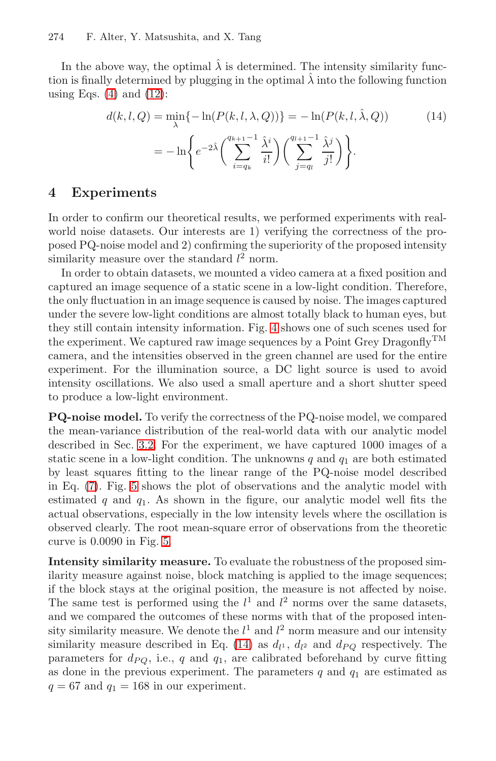In the above way, the optimal  $\lambda$  is determined. The intensity similarity function is finally determined by plugging in the optimal  $\lambda$  into the following function using Eqs.  $(4)$  and  $(12)$ :

$$
d(k, l, Q) = \min_{\lambda} \{-\ln(P(k, l, \lambda, Q))\} = -\ln(P(k, l, \hat{\lambda}, Q))
$$
\n
$$
= -\ln\left\{e^{-2\hat{\lambda}}\left(\sum_{i=q_k}^{q_{k+1}-1} \frac{\hat{\lambda}^i}{i!}\right)\left(\sum_{j=q_l}^{q_{l+1}-1} \frac{\hat{\lambda}^j}{j!}\right)\right\}.
$$
\n(14)

### <span id="page-7-0"></span>**4 Experiments**

In order to confirm our theoretical results, we performed experiments with realworld noise datasets. Our interests are 1) verifying the correctness of the proposed PQ-noise model and 2) confirming the superiority of the proposed intensity similarity measure over the standard  $l^2$  norm.

In order to obtain datasets, we mounted a video camera at a fixed position and captured an image sequence of a static scene in a low-light condition. Therefore, the only fluctuation in an image sequence is caused by noise. The images captured under the severe low-light conditions are almost totally black to human eyes, but they still contain intensity information. Fig. [4](#page-8-0) shows one of such scenes used for the experiment. We captured raw image sequences by a Point Grey Dragonfly<sup>TM</sup> camera, and the intensities observed in the green channel are used for the entire experiment. For the illumination source, a DC light source is used to avoid intensity oscillations. We also used a small aperture and a short shutter speed to produce a low-light environment.

**PQ-noise model.** To verify the correctness of the PQ-noise model, we compared the mean-variance distribution of the real-world data with our analytic model described in Sec. [3.2.](#page-6-3) For the experiment, we have captured 1000 images of a static scene in a low-light condition. The unknowns q and  $q_1$  are both estimated by least squares fitting to the linear range of the PQ-noise model described in Eq. [\(7\)](#page-4-3). Fig. [5](#page-8-1) shows the plot of observations and the analytic model with estimated q and  $q_1$ . As shown in the figure, our analytic model well fits the actual observations, especially in the low intensity levels where the oscillation is observed clearly. The root mean-square error of observations from the theoretic curve is 0.0090 in Fig. [5.](#page-8-1)

**Intensity similarity measure.** To evaluate the robustness of the proposed similarity measure against noise, block matching is applied to the image sequences; if the block stays at the original position, the measure is not affected by noise. The same test is performed using the  $l^1$  and  $l^2$  norms over the same datasets, and we compared the outcomes of these norms with that of the proposed intensity similarity measure. We denote the  $l^1$  and  $l^2$  norm measure and our intensity similarity measure described in Eq. [\(14\)](#page-6-4) as  $d_{l<sup>1</sup>}$ ,  $d_{l<sup>2</sup>}$  and  $d_{PQ}$  respectively. The parameters for  $d_{PQ}$ , i.e., q and  $q_1$ , are calibrated beforehand by curve fitting as done in the previous experiment. The parameters  $q$  and  $q_1$  are estimated as  $q = 67$  and  $q_1 = 168$  in our experiment.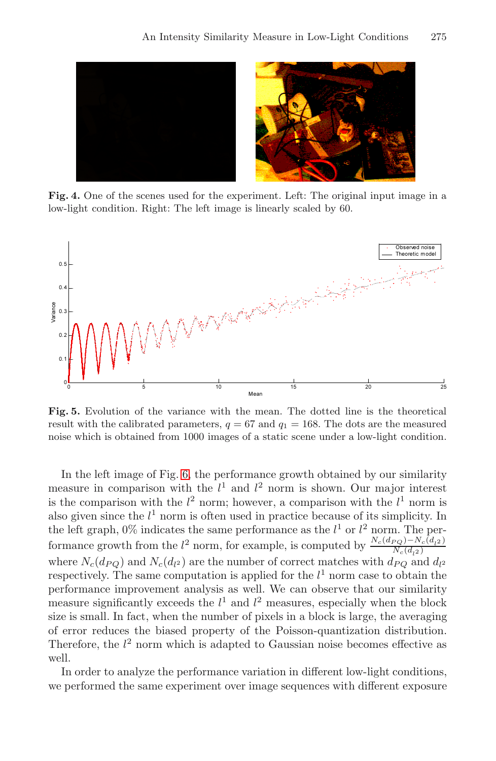

**Fig. 4.** One of the scenes used for the experiment. Left: The original input image in a low-light condition. Right: The left image is linearly scaled by 60.

<span id="page-8-0"></span>

<span id="page-8-1"></span>**Fig. 5.** Evolution of the variance with the mean. The dotted line is the theoretical result with the calibrated parameters,  $q = 67$  and  $q_1 = 168$ . The dots are the measured noise which is obtained from 1000 images of a static scene under a low-light condition.

In the left image of Fig. [6,](#page-9-0) the performance growth obtained by our similarity measure in comparison with the  $l^1$  and  $l^2$  norm is shown. Our major interest is the comparison with the  $l^2$  norm; however, a comparison with the  $l^1$  norm is also given since the  $l^1$  norm is often used in practice because of its simplicity. In the left graph,  $0\%$  indicates the same performance as the  $l^1$  or  $l^2$  norm. The performance growth from the  $l^2$  norm, for example, is computed by  $\frac{N_c(d_{PQ}) - N_c(d_{l2})}{N_c(d_{l2})}$ where  $N_c(d_{PQ})$  and  $N_c(d_{l^2})$  are the number of correct matches with  $d_{PQ}$  and  $d_{l^2}$ respectively. The same computation is applied for the  $l^1$  norm case to obtain the performance improvement analysis as well. We can observe that our similarity measure significantly exceeds the  $l^1$  and  $l^2$  measures, especially when the block size is small. In fact, when the number of pixels in a block is large, the averaging of error reduces the biased property of the Poisson-quantization distribution. Therefore, the  $l^2$  norm which is adapted to Gaussian noise becomes effective as well.

In order to analyze the performance variation in different low-light conditions, we performed the same experiment over image sequences with different exposure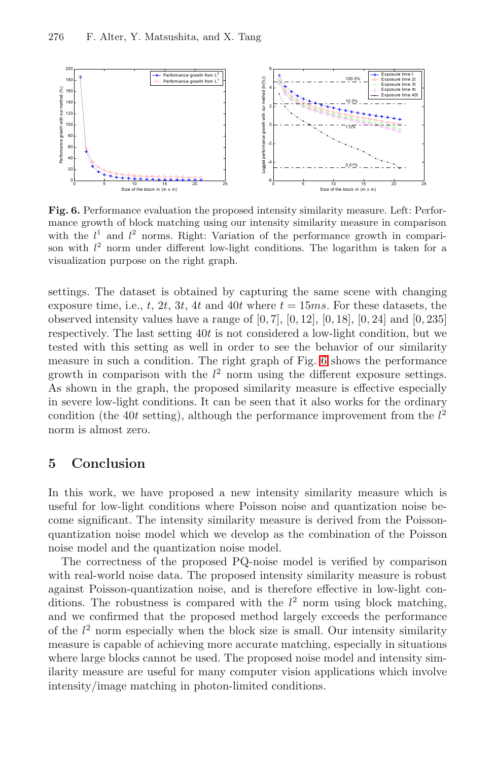

<span id="page-9-0"></span>**Fig. 6.** Performance evaluation the proposed intensity similarity measure. Left: Performance growth of block matching using our intensity similarity measure in comparison with the  $l^1$  and  $l^2$  norms. Right: Variation of the performance growth in comparison with  $l^2$  norm under different low-light conditions. The logarithm is taken for a visualization purpose on the right graph.

settings. The dataset is obtained by capturing the same scene with changing exposure time, i.e., t, 2t, 3t, 4t and 40t where  $t = 15ms$ . For these datasets, the observed intensity values have a range of  $[0, 7]$ ,  $[0, 12]$ ,  $[0, 18]$ ,  $[0, 24]$  and  $[0, 235]$ respectively. The last setting  $40t$  is not considered a low-light condition, but we tested with this setting as well in order to see the behavior of our similarity measure in such a condition. The right graph of Fig. [6](#page-9-0) shows the performance growth in comparison with the  $l^2$  norm using the different exposure settings. As shown in the graph, the proposed similarity measure is effective especially in severe low-light conditions. It can be seen that it also works for the ordinary condition (the  $40t$  setting), although the performance improvement from the  $l^2$ norm is almost zero.

### **5 Conclusion**

In this work, we have proposed a new intensity similarity measure which is useful for low-light conditions where Poisson noise and quantization noise become significant. The intensity similarity measure is derived from the Poissonquantization noise model which we develop as the combination of the Poisson noise model and the quantization noise model.

The correctness of the proposed PQ-noise model is verified by comparison with real-world noise data. The proposed intensity similarity measure is robust against Poisson-quantization noise, and is therefore effective in low-light conditions. The robustness is compared with the  $l^2$  norm using block matching, and we confirmed that the proposed method largely exceeds the performance of the  $l^2$  norm especially when the block size is small. Our intensity similarity measure is capable of achieving more accurate matching, especially in situations where large blocks cannot be used. The proposed noise model and intensity similarity measure are useful for many computer vision applications which involve intensity/image matching in photon-limited conditions.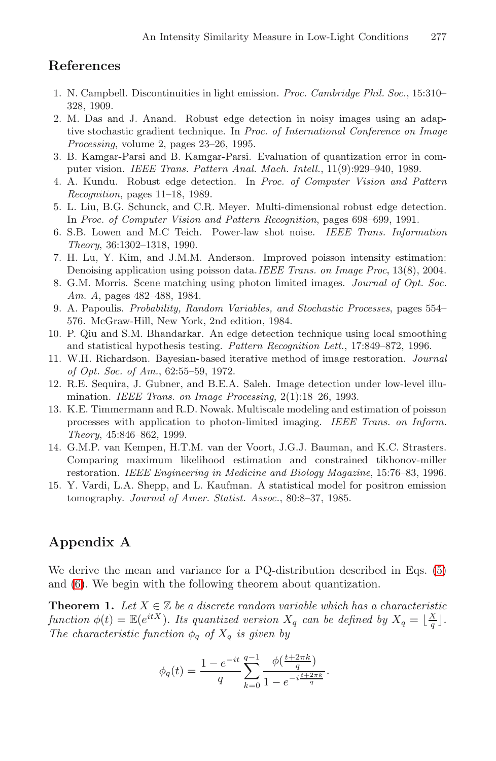## <span id="page-10-0"></span>**References**

- 1. N. Campbell. Discontinuities in light emission. Proc. Cambridge Phil. Soc., 15:310– 328, 1909.
- <span id="page-10-6"></span>2. M. Das and J. Anand. Robust edge detection in noisy images using an adaptive stochastic gradient technique. In Proc. of International Conference on Image Processing, volume 2, pages 23–26, 1995.
- <span id="page-10-14"></span>3. B. Kamgar-Parsi and B. Kamgar-Parsi. Evaluation of quantization error in computer vision. IEEE Trans. Pattern Anal. Mach. Intell., 11(9):929–940, 1989.
- <span id="page-10-5"></span><span id="page-10-4"></span>4. A. Kundu. Robust edge detection. In Proc. of Computer Vision and Pattern Recognition, pages 11–18, 1989.
- 5. L. Liu, B.G. Schunck, and C.R. Meyer. Multi-dimensional robust edge detection. In Proc. of Computer Vision and Pattern Recognition, pages 698–699, 1991.
- <span id="page-10-12"></span><span id="page-10-2"></span>6. S.B. Lowen and M.C Teich. Power-law shot noise. IEEE Trans. Information Theory, 36:1302–1318, 1990.
- 7. H. Lu, Y. Kim, and J.M.M. Anderson. Improved poisson intensity estimation: Denoising application using poisson data.*IEEE Trans. on Image Proc*, 13(8), 2004.
- <span id="page-10-1"></span>8. G.M. Morris. Scene matching using photon limited images. Journal of Opt. Soc. Am. A, pages 482–488, 1984.
- <span id="page-10-13"></span>9. A. Papoulis. Probability, Random Variables, and Stochastic Processes, pages 554– 576. McGraw-Hill, New York, 2nd edition, 1984.
- <span id="page-10-7"></span>10. P. Qiu and S.M. Bhandarkar. An edge detection technique using local smoothing and statistical hypothesis testing. Pattern Recognition Lett., 17:849–872, 1996.
- <span id="page-10-10"></span>11. W.H. Richardson. Bayesian-based iterative method of image restoration. Journal of Opt. Soc. of Am., 62:55–59, 1972.
- <span id="page-10-3"></span>12. R.E. Sequira, J. Gubner, and B.E.A. Saleh. Image detection under low-level illumination. IEEE Trans. on Image Processing, 2(1):18–26, 1993.
- <span id="page-10-11"></span>13. K.E. Timmermann and R.D. Nowak. Multiscale modeling and estimation of poisson processes with application to photon-limited imaging. IEEE Trans. on Inform. Theory, 45:846–862, 1999.
- <span id="page-10-9"></span>14. G.M.P. van Kempen, H.T.M. van der Voort, J.G.J. Bauman, and K.C. Strasters. Comparing maximum likelihood estimation and constrained tikhonov-miller restoration. IEEE Engineering in Medicine and Biology Magazine, 15:76–83, 1996.
- <span id="page-10-8"></span>15. Y. Vardi, L.A. Shepp, and L. Kaufman. A statistical model for positron emission tomography. Journal of Amer. Statist. Assoc., 80:8-37, 1985.

# **Appendix A**

We derive the mean and variance for a PQ-distribution described in Eqs. [\(5\)](#page-3-2) and [\(6\)](#page-3-3). We begin with the following theorem about quantization.

**Theorem 1.** Let  $X \in \mathbb{Z}$  be a discrete random variable which has a characteristic function  $\phi(t) = \mathbb{E}(e^{itX})$ . Its quantized version  $X_q$  can be defined by  $X_q = \lfloor \frac{X}{q} \rfloor$ . The characteristic function  $\phi_q$  of  $X_q$  is given by

$$
\phi_q(t) = \frac{1 - e^{-it}}{q} \sum_{k=0}^{q-1} \frac{\phi(\frac{t + 2\pi k}{q})}{1 - e^{-i\frac{t + 2\pi k}{q}}}.
$$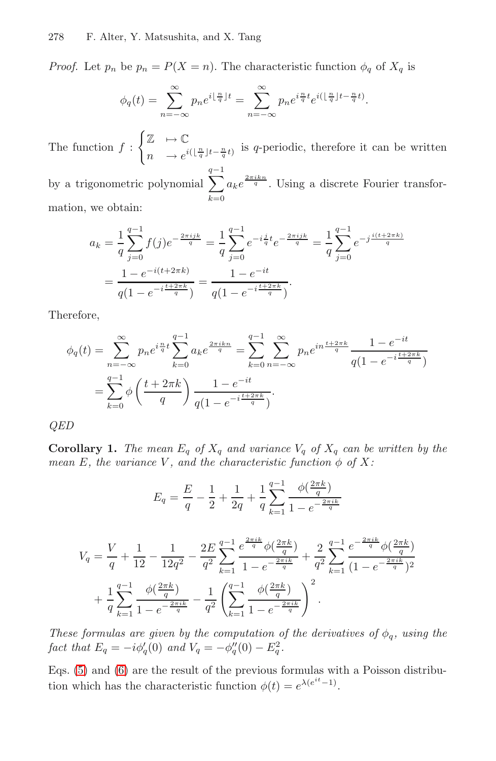*Proof.* Let  $p_n$  be  $p_n = P(X = n)$ . The characteristic function  $\phi_q$  of  $X_q$  is

$$
\phi_q(t) = \sum_{n = -\infty}^{\infty} p_n e^{i\left\lfloor \frac{n}{q} \right\rfloor t} = \sum_{n = -\infty}^{\infty} p_n e^{i\frac{n}{q}t} e^{i\left(\left\lfloor \frac{n}{q} \right\rfloor t - \frac{n}{q}t\right)}.
$$

The function  $f$ :  $\int \mathbb{Z} \rightarrow \mathbb{C}$  $n \to e^{i(\lfloor \frac{n}{q} \rfloor t - \frac{n}{q}t)}$  is q-periodic, therefore it can be written  $\frac{q-1}{q}$ 

by a trigonometric polynomial  $\sum$  $k=0$  $a_k e^{\frac{2\pi i k n}{q}}$ . Using a discrete Fourier transformation, we obtain:

$$
a_k = \frac{1}{q} \sum_{j=0}^{q-1} f(j) e^{-\frac{2\pi i j k}{q}} = \frac{1}{q} \sum_{j=0}^{q-1} e^{-i\frac{j}{q}t} e^{-\frac{2\pi i j k}{q}} = \frac{1}{q} \sum_{j=0}^{q-1} e^{-j\frac{i(t+2\pi k)}{q}}
$$

$$
= \frac{1 - e^{-i(t+2\pi k)}}{q(1 - e^{-i\frac{t+2\pi k}{q}})} = \frac{1 - e^{-it}}{q(1 - e^{-i\frac{t+2\pi k}{q}})}.
$$

Therefore,

$$
\phi_q(t) = \sum_{n=-\infty}^{\infty} p_n e^{i\frac{n}{q}t} \sum_{k=0}^{q-1} a_k e^{\frac{2\pi i k n}{q}} = \sum_{k=0}^{q-1} \sum_{n=-\infty}^{\infty} p_n e^{in\frac{t+2\pi k}{q}} \frac{1 - e^{-it}}{q(1 - e^{-i\frac{t+2\pi k}{q}})}
$$

$$
= \sum_{k=0}^{q-1} \phi\left(\frac{t + 2\pi k}{q}\right) \frac{1 - e^{-it}}{q(1 - e^{-i\frac{t+2\pi k}{q}})}.
$$

QED

**Corollary 1.** The mean  $E_q$  of  $X_q$  and variance  $V_q$  of  $X_q$  can be written by the mean E, the variance V, and the characteristic function  $\phi$  of X:

$$
E_q = \frac{E}{q} - \frac{1}{2} + \frac{1}{2q} + \frac{1}{q} \sum_{k=1}^{q-1} \frac{\phi(\frac{2\pi k}{q})}{1 - e^{-\frac{2\pi i k}{q}}}
$$

$$
V_q = \frac{V}{q} + \frac{1}{12} - \frac{1}{12q^2} - \frac{2E}{q^2} \sum_{k=1}^{q-1} \frac{e^{\frac{2\pi i k}{q}} \phi(\frac{2\pi k}{q})}{1 - e^{-\frac{2\pi i k}{q}}} + \frac{2}{q^2} \sum_{k=1}^{q-1} \frac{e^{-\frac{2\pi i k}{q}} \phi(\frac{2\pi k}{q})}{(1 - e^{-\frac{2\pi i k}{q}})^2} + \frac{1}{q} \sum_{k=1}^{q-1} \frac{\phi(\frac{2\pi k}{q})}{1 - e^{-\frac{2\pi i k}{q}}} - \frac{1}{q^2} \left( \sum_{k=1}^{q-1} \frac{\phi(\frac{2\pi k}{q})}{1 - e^{-\frac{2\pi i k}{q}}} \right)^2.
$$

These formulas are given by the computation of the derivatives of  $\phi_q$ , using the fact that  $E_q = -i\phi'_q(0)$  and  $V_q = -\phi''_q(0) - E_q^2$ .

Eqs. [\(5\)](#page-3-2) and [\(6\)](#page-3-3) are the result of the previous formulas with a Poisson distribution which has the characteristic function  $\phi(t) = e^{\lambda(e^{it}-1)}$ .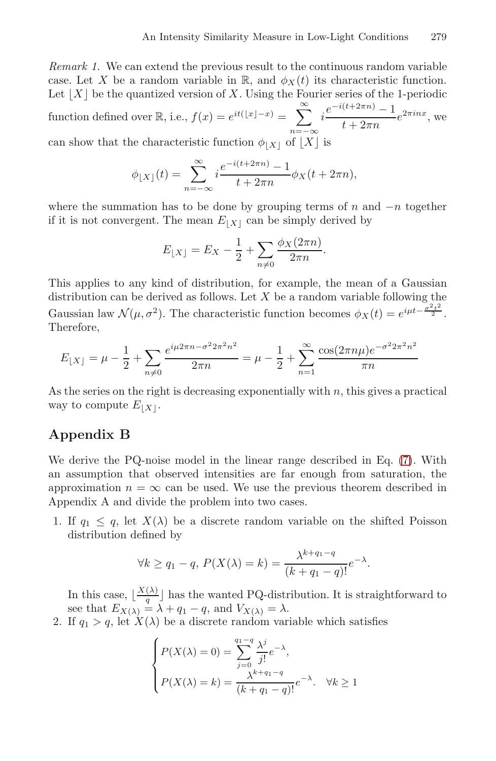Remark 1. We can extend the previous result to the continuous random variable case. Let X be a random variable in R, and  $\phi_X(t)$  its characteristic function. Let  $\lfloor X \rfloor$  be the quantized version of X. Using the Fourier series of the 1-periodic function defined over R, i.e.,  $f(x) = e^{it(\lfloor x \rfloor - x)} = \sum_{n=0}^{\infty}$  $n=-\infty$  $i\frac{e^{-i(t+2\pi n)}-1}{t+2}$  $\frac{1}{t+2\pi n}e^{2\pi inx}$ , we can show that the characteristic function  $\phi_{[X]}$  of  $[X]$  is

$$
\phi_{\lfloor X\rfloor}(t) = \sum_{n=-\infty}^{\infty} i \frac{e^{-i(t+2\pi n)} - 1}{t+2\pi n} \phi_X(t+2\pi n),
$$

where the summation has to be done by grouping terms of n and  $-n$  together if it is not convergent. The mean  $E_{|X|}$  can be simply derived by

$$
E_{\lfloor X\rfloor} = E_X - \frac{1}{2} + \sum_{n \neq 0} \frac{\phi_X(2\pi n)}{2\pi n}.
$$

This applies to any kind of distribution, for example, the mean of a Gaussian distribution can be derived as follows. Let  $X$  be a random variable following the Gaussian law  $\mathcal{N}(\mu, \sigma^2)$ . The characteristic function becomes  $\phi_X(t) = e^{i\mu t - \frac{\sigma^2 t^2}{2}}$ . Therefore,

$$
E_{\lfloor X \rfloor} = \mu - \frac{1}{2} + \sum_{n \neq 0} \frac{e^{i\mu 2\pi n - \sigma^2 2\pi^2 n^2}}{2\pi n} = \mu - \frac{1}{2} + \sum_{n=1}^{\infty} \frac{\cos(2\pi n\mu)e^{-\sigma^2 2\pi^2 n^2}}{\pi n}
$$

As the series on the right is decreasing exponentially with  $n$ , this gives a practical way to compute  $E_{|X|}$ .

# **Appendix B**

We derive the PQ-noise model in the linear range described in Eq. [\(7\)](#page-4-3). With an assumption that observed intensities are far enough from saturation, the approximation  $n = \infty$  can be used. We use the previous theorem described in Appendix A and divide the problem into two cases.

1. If  $q_1 \leq q$ , let  $X(\lambda)$  be a discrete random variable on the shifted Poisson distribution defined by

$$
\forall k \ge q_1 - q, P(X(\lambda) = k) = \frac{\lambda^{k+q_1 - q}}{(k+q_1 - q)!} e^{-\lambda}.
$$

In this case,  $\lfloor \frac{X(\lambda)}{q} \rfloor$  has the wanted PQ-distribution. It is straightforward to see that  $E_{X(\lambda)} = \lambda + q_1 - q$ , and  $V_{X(\lambda)} = \lambda$ .

2. If  $q_1 > q$ , let  $X(\lambda)$  be a discrete random variable which satisfies

$$
\begin{cases}\nP(X(\lambda) = 0) = \sum_{j=0}^{q_1 - q} \frac{\lambda^j}{j!} e^{-\lambda}, \\
P(X(\lambda) = k) = \frac{\lambda^{k+q_1 - q}}{(k+q_1 - q)!} e^{-\lambda}. \quad \forall k \ge 1\n\end{cases}
$$